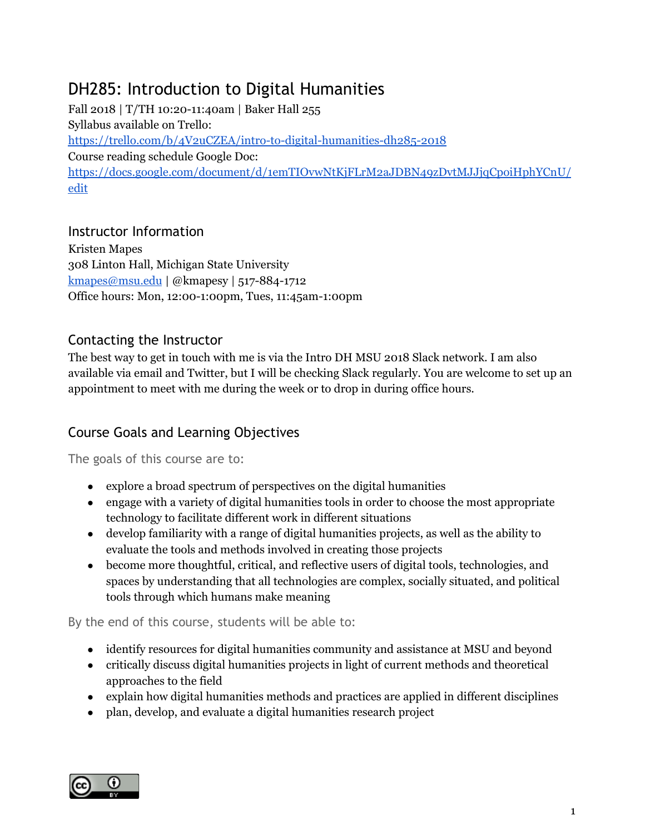# DH285: Introduction to Digital Humanities

Fall 2018 | T/TH 10:20-11:40am | Baker Hall 255 Syllabus available on Trello: <https://trello.com/b/4V2uCZEA/intro-to-digital-humanities-dh285-2018> Course reading schedule Google Doc: [https://docs.google.com/document/d/1emTIOvwNtKjFLrM2aJDBN49zDvtMJJjqCpoiHphYCnU/](https://docs.google.com/document/d/1emTIOvwNtKjFLrM2aJDBN49zDvtMJJjqCpoiHphYCnU/edit) [edit](https://docs.google.com/document/d/1emTIOvwNtKjFLrM2aJDBN49zDvtMJJjqCpoiHphYCnU/edit)

# Instructor Information

Kristen Mapes 308 Linton Hall, Michigan State University [kmapes@msu.edu](mailto:kmapes@msu.edu) | @kmapesy | 517-884-1712 Office hours: Mon, 12:00-1:00pm, Tues, 11:45am-1:00pm

# Contacting the Instructor

The best way to get in touch with me is via the Intro DH MSU 2018 Slack network. I am also available via email and Twitter, but I will be checking Slack regularly. You are welcome to set up an appointment to meet with me during the week or to drop in during office hours.

# Course Goals and Learning Objectives

The goals of this course are to:

- explore a broad spectrum of perspectives on the digital humanities
- engage with a variety of digital humanities tools in order to choose the most appropriate technology to facilitate different work in different situations
- develop familiarity with a range of digital humanities projects, as well as the ability to evaluate the tools and methods involved in creating those projects
- become more thoughtful, critical, and reflective users of digital tools, technologies, and spaces by understanding that all technologies are complex, socially situated, and political tools through which humans make meaning

By the end of this course, students will be able to:

- identify resources for digital humanities community and assistance at MSU and beyond
- critically discuss digital humanities projects in light of current methods and theoretical approaches to the field
- explain how digital humanities methods and practices are applied in different disciplines
- plan, develop, and evaluate a digital humanities research project

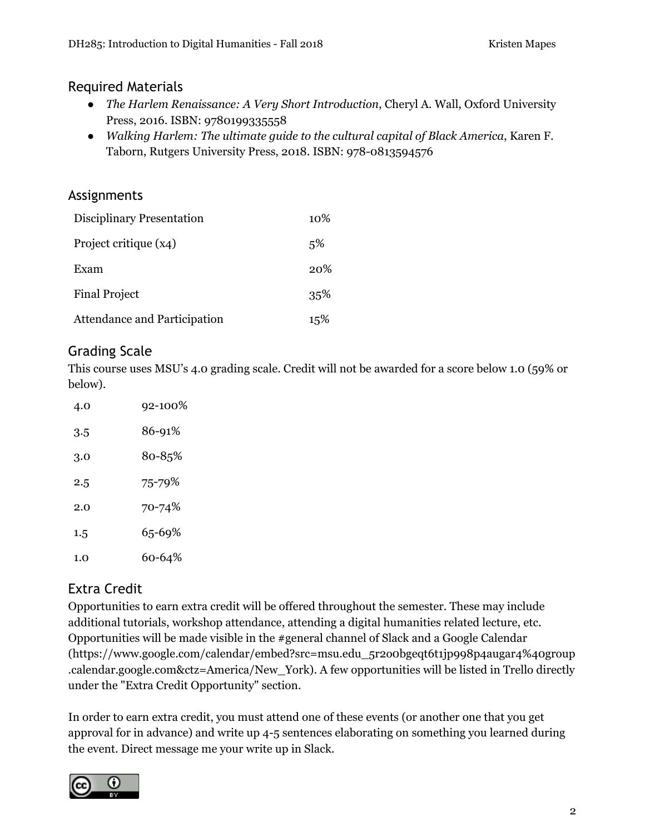# Required Materials

- *● The Harlem Renaissance: A Very Short Introduction*, Cheryl A. Wall, Oxford University Press, 2016. ISBN: 9780199335558
- *Walking Harlem: The ultimate guide to the cultural capital of Black America*, Karen F. Taborn, Rutgers University Press, 2018. ISBN: 978-0813594576

# Assignments

| Disciplinary Presentation    | $10\%$ |
|------------------------------|--------|
| Project critique (x4)        | 5%     |
| Exam                         | 20%    |
| <b>Final Project</b>         | 35%    |
| Attendance and Participation | 15%    |

# Grading Scale

This course uses MSU's 4.0 grading scale. Credit will not be awarded for a score below 1.0 (59% or below).

| 4.0 | 92-100% |
|-----|---------|
| 3.5 | 86-91%  |
| 3.0 | 80-85%  |
| 2.5 | 75-79%  |
| 2.0 | 70-74%  |
| 1.5 | 65-69%  |
| 1.0 | 60-64%  |

# Extra Credit

Opportunities to earn extra credit will be offered throughout the semester. These may include additional tutorials, workshop attendance, attending a digital humanities related lecture, etc. Opportunities will be made visible in the #general channel of Slack and a Google Calendar (https://www.google.com/calendar/embed?src=msu.edu\_5r2o0bgeqt6t1jp998p4augar4%40group .calendar.google.com&ctz=America/New\_York). A few opportunities will be listed in Trello directly under the "Extra Credit Opportunity" section.

In order to earn extra credit, you must attend one of these events (or another one that you get approval for in advance) and write up 4-5 sentences elaborating on something you learned during the event. Direct message me your write up in Slack.

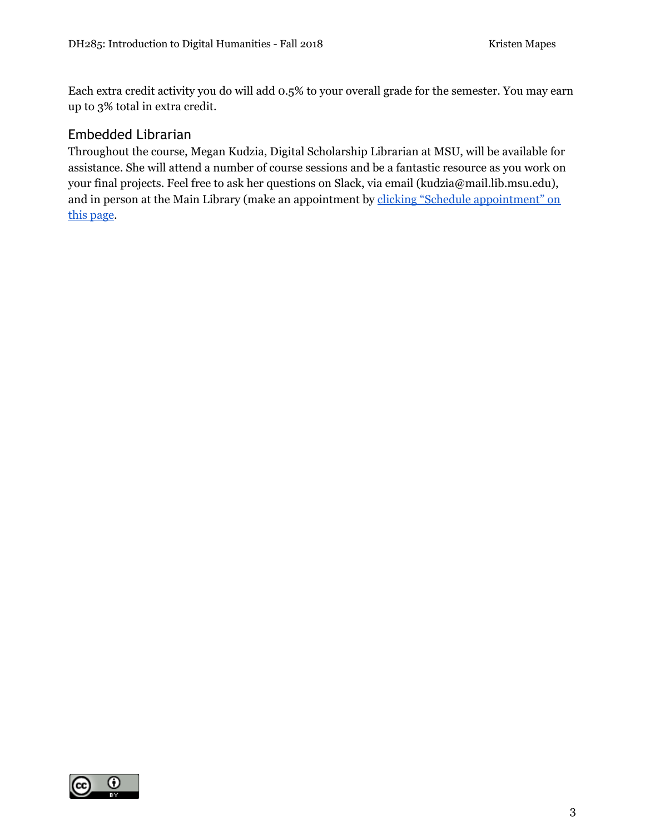Each extra credit activity you do will add 0.5% to your overall grade for the semester. You may earn up to 3% total in extra credit.

# Embedded Librarian

Throughout the course, Megan Kudzia, Digital Scholarship Librarian at MSU, will be available for assistance. She will attend a number of course sessions and be a fantastic resource as you work on your final projects. Feel free to ask her questions on Slack, via email (kudzia@mail.lib.msu.edu), and in person at the Main Library (make an appointment by clicking "Schedule [appointment"](http://libguides.lib.msu.edu/prf.php?account_id=85527) on this [page](http://libguides.lib.msu.edu/prf.php?account_id=85527).

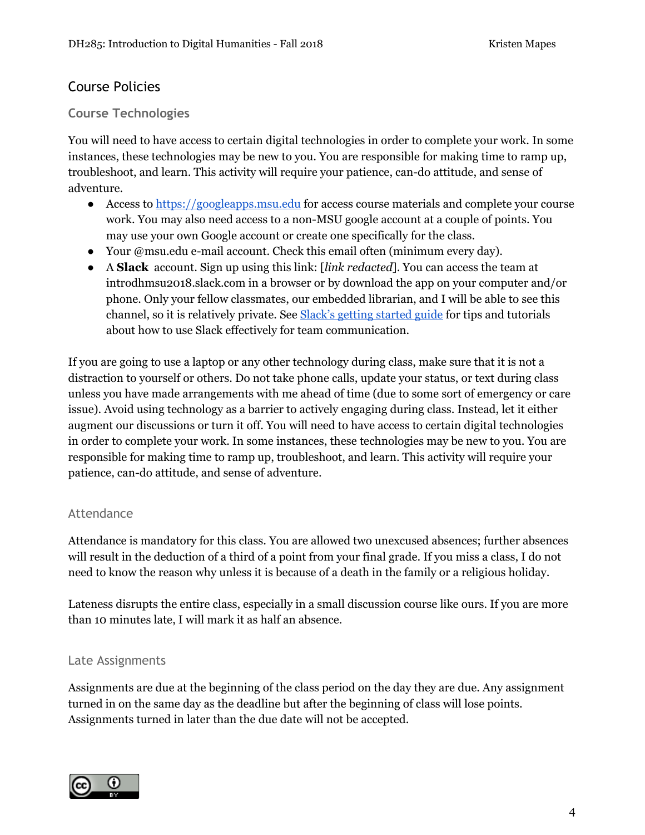# Course Policies

### **Course Technologies**

You will need to have access to certain digital technologies in order to complete your work. In some instances, these technologies may be new to you. You are responsible for making time to ramp up, troubleshoot, and learn. This activity will require your patience, can-do attitude, and sense of adventure.

- Access to [https://googleapps.msu.edu](https://googleapps.msu.edu/) for access course materials and complete your course work. You may also need access to a non-MSU google account at a couple of points. You may use your own Google account or create one specifically for the class.
- Your @msu.edu e-mail account. Check this email often (minimum every day).
- A **Slack** account. Sign up using this link: [*link redacted*]. You can access the team at introdhmsu2018.slack.com in a browser or by download the app on your computer and/or phone. Only your fellow classmates, our embedded librarian, and I will be able to see this channel, so it is relatively private. See Slack's getting [started](https://get.slack.help/hc/en-us/categories/360000049043-getting-started) guide for tips and tutorials about how to use Slack effectively for team communication.

If you are going to use a laptop or any other technology during class, make sure that it is not a distraction to yourself or others. Do not take phone calls, update your status, or text during class unless you have made arrangements with me ahead of time (due to some sort of emergency or care issue). Avoid using technology as a barrier to actively engaging during class. Instead, let it either augment our discussions or turn it off. You will need to have access to certain digital technologies in order to complete your work. In some instances, these technologies may be new to you. You are responsible for making time to ramp up, troubleshoot, and learn. This activity will require your patience, can-do attitude, and sense of adventure.

#### Attendance

Attendance is mandatory for this class. You are allowed two unexcused absences; further absences will result in the deduction of a third of a point from your final grade. If you miss a class, I do not need to know the reason why unless it is because of a death in the family or a religious holiday.

Lateness disrupts the entire class, especially in a small discussion course like ours. If you are more than 10 minutes late, I will mark it as half an absence.

#### Late Assignments

Assignments are due at the beginning of the class period on the day they are due. Any assignment turned in on the same day as the deadline but after the beginning of class will lose points. Assignments turned in later than the due date will not be accepted.

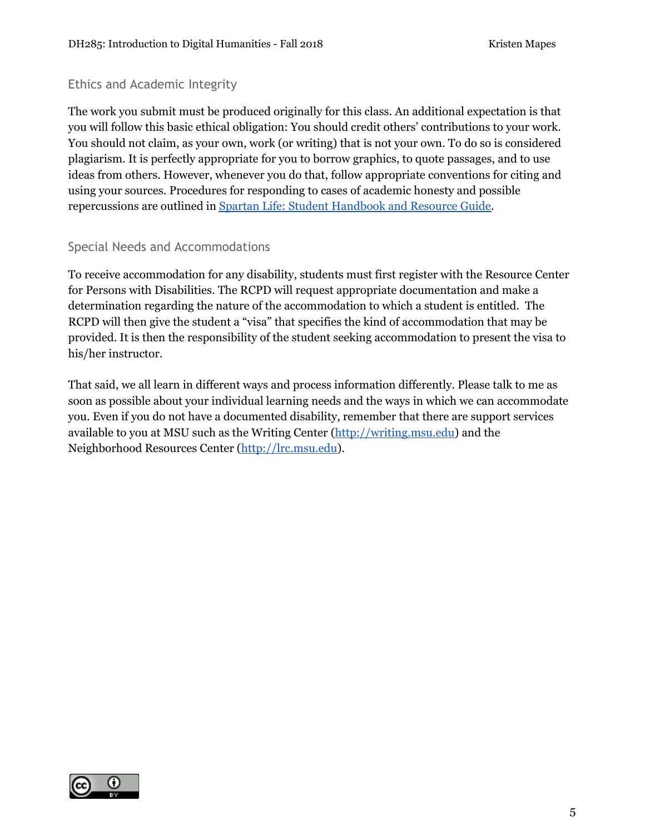#### Ethics and Academic Integrity

The work you submit must be produced originally for this class. An additional expectation is that you will follow this basic ethical obligation: You should credit others' contributions to your work. You should not claim, as your own, work (or writing) that is not your own. To do so is considered plagiarism. It is perfectly appropriate for you to borrow graphics, to quote passages, and to use ideas from others. However, whenever you do that, follow appropriate conventions for citing and using your sources. Procedures for responding to cases of academic honesty and possible repercussions are outlined in Spartan Life: Student [Handbook](http://splife.studentlife.msu.edu/) and Resource Guide.

#### Special Needs and Accommodations

To receive accommodation for any disability, students must first register with the Resource Center for Persons with Disabilities. The RCPD will request appropriate documentation and make a determination regarding the nature of the accommodation to which a student is entitled. The RCPD will then give the student a "visa" that specifies the kind of accommodation that may be provided. It is then the responsibility of the student seeking accommodation to present the visa to his/her instructor.

That said, we all learn in different ways and process information differently. Please talk to me as soon as possible about your individual learning needs and the ways in which we can accommodate you. Even if you do not have a documented disability, remember that there are support services available to you at MSU such as the Writing Center [\(http://writing.msu.edu\)](http://writing.msu.edu/) and the Neighborhood Resources Center [\(http://lrc.msu.edu](http://lrc.msu.edu/)).

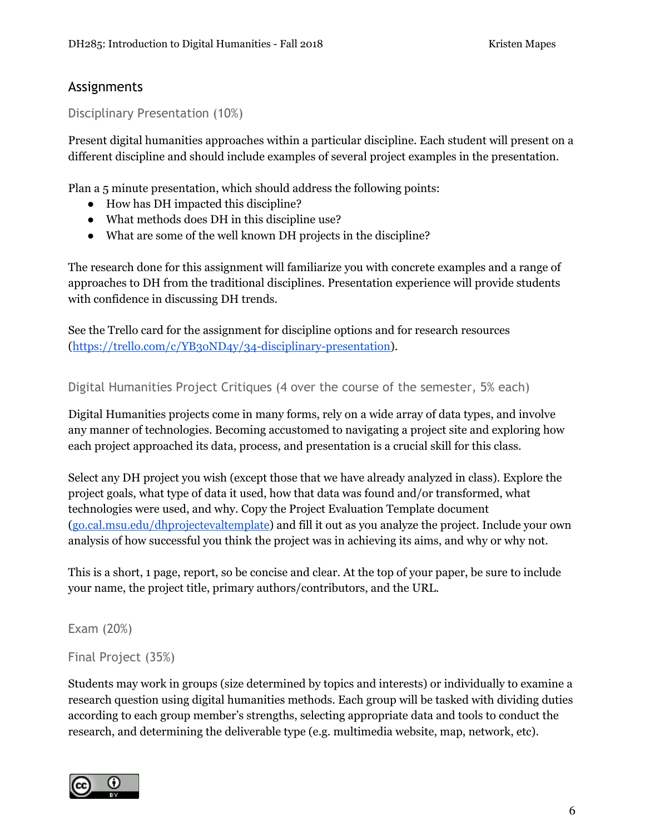# Assignments

Disciplinary Presentation (10%)

Present digital humanities approaches within a particular discipline. Each student will present on a different discipline and should include examples of several project examples in the presentation.

Plan a 5 minute presentation, which should address the following points:

- How has DH impacted this discipline?
- What methods does DH in this discipline use?
- What are some of the well known DH projects in the discipline?

The research done for this assignment will familiarize you with concrete examples and a range of approaches to DH from the traditional disciplines. Presentation experience will provide students with confidence in discussing DH trends.

See the Trello card for the assignment for discipline options and for research resources (<https://trello.com/c/YB3oND4y/34-disciplinary-presentation>).

Digital Humanities Project Critiques (4 over the course of the semester, 5% each)

Digital Humanities projects come in many forms, rely on a wide array of data types, and involve any manner of technologies. Becoming accustomed to navigating a project site and exploring how each project approached its data, process, and presentation is a crucial skill for this class.

Select any DH project you wish (except those that we have already analyzed in class). Explore the project goals, what type of data it used, how that data was found and/or transformed, what technologies were used, and why. Copy the Project Evaluation Template document ([go.cal.msu.edu/dhprojectevaltemplate\)](http://go.cal.msu.edu/dhprojectevaltemplate) and fill it out as you analyze the project. Include your own analysis of how successful you think the project was in achieving its aims, and why or why not.

This is a short, 1 page, report, so be concise and clear. At the top of your paper, be sure to include your name, the project title, primary authors/contributors, and the URL.

Exam (20%)

Final Project (35%)

Students may work in groups (size determined by topics and interests) or individually to examine a research question using digital humanities methods. Each group will be tasked with dividing duties according to each group member's strengths, selecting appropriate data and tools to conduct the research, and determining the deliverable type (e.g. multimedia website, map, network, etc).

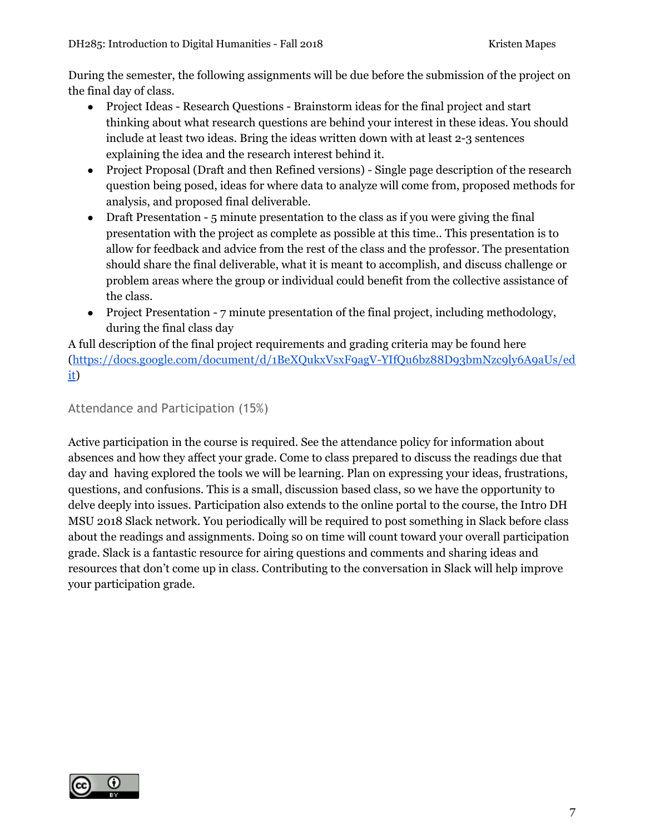During the semester, the following assignments will be due before the submission of the project on the final day of class.

- Project Ideas Research Questions Brainstorm ideas for the final project and start thinking about what research questions are behind your interest in these ideas. You should include at least two ideas. Bring the ideas written down with at least 2-3 sentences explaining the idea and the research interest behind it.
- Project Proposal (Draft and then Refined versions) Single page description of the research question being posed, ideas for where data to analyze will come from, proposed methods for analysis, and proposed final deliverable.
- Draft Presentation 5 minute presentation to the class as if you were giving the final presentation with the project as complete as possible at this time.. This presentation is to allow for feedback and advice from the rest of the class and the professor. The presentation should share the final deliverable, what it is meant to accomplish, and discuss challenge or problem areas where the group or individual could benefit from the collective assistance of the class.
- Project Presentation 7 minute presentation of the final project, including methodology, during the final class day

A full description of the final project requirements and grading criteria may be found here ([https://docs.google.com/document/d/1BeXQukxVsxF9agV-YIfQu6bz88D93bmNzc9ly6A9aUs/ed](https://docs.google.com/document/d/1BeXQukxVsxF9agV-YIfQu6bz88D93bmNzc9ly6A9aUs/edit) [it\)](https://docs.google.com/document/d/1BeXQukxVsxF9agV-YIfQu6bz88D93bmNzc9ly6A9aUs/edit)

### Attendance and Participation (15%)

Active participation in the course is required. See the attendance policy for information about absences and how they affect your grade. Come to class prepared to discuss the readings due that day and having explored the tools we will be learning. Plan on expressing your ideas, frustrations, questions, and confusions. This is a small, discussion based class, so we have the opportunity to delve deeply into issues. Participation also extends to the online portal to the course, the Intro DH MSU 2018 Slack network. You periodically will be required to post something in Slack before class about the readings and assignments. Doing so on time will count toward your overall participation grade. Slack is a fantastic resource for airing questions and comments and sharing ideas and resources that don't come up in class. Contributing to the conversation in Slack will help improve your participation grade.

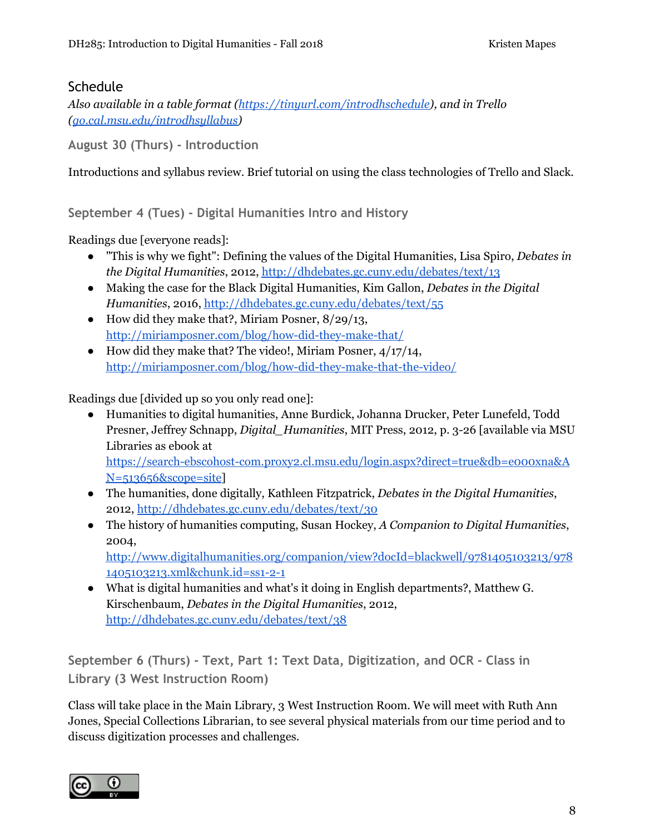# **Schedule**

*Also available in a table format [\(https://tinyurl.com/introdhschedule\)](https://tinyurl.com/introdhschedule), and in Trello ([go.cal.msu.edu/introdhsyllabus\)](http://go.cal.msu.edu/introdhsyllabus)*

**August 30 (Thurs) - Introduction**

Introductions and syllabus review. Brief tutorial on using the class technologies of Trello and Slack.

**September 4 (Tues) - Digital Humanities Intro and History**

Readings due [everyone reads]:

- "This is why we fight": Defining the values of the Digital Humanities, Lisa Spiro, *Debates in the Digital Humanities*, 2012, <http://dhdebates.gc.cuny.edu/debates/text/13>
- Making the case for the Black Digital Humanities, Kim Gallon, *Debates in the Digital Humanities*, 2016, <http://dhdebates.gc.cuny.edu/debates/text/55>
- How did they make that?, Miriam Posner,  $8/29/13$ , <http://miriamposner.com/blog/how-did-they-make-that/>
- How did they make that? The video!, Miriam Posner,  $4/17/14$ , <http://miriamposner.com/blog/how-did-they-make-that-the-video/>

Readings due [divided up so you only read one]:

- Humanities to digital humanities, Anne Burdick, Johanna Drucker, Peter Lunefeld, Todd Presner, Jeffrey Schnapp, *Digital\_Humanities*, MIT Press, 2012, p. 3-26 [available via MSU Libraries as ebook at [https://search-ebscohost-com.proxy2.cl.msu.edu/login.aspx?direct=true&db=e000xna&A](https://search-ebscohost-com.proxy2.cl.msu.edu/login.aspx?direct=true&db=e000xna&AN=513656&scope=site) [N=513656&scope=site](https://search-ebscohost-com.proxy2.cl.msu.edu/login.aspx?direct=true&db=e000xna&AN=513656&scope=site)]
- The humanities, done digitally, Kathleen Fitzpatrick, *Debates in the Digital Humanities*, 2012, <http://dhdebates.gc.cuny.edu/debates/text/30>
- The history of humanities computing, Susan Hockey, *A Companion to Digital Humanities*, 2004, [http://www.digitalhumanities.org/companion/view?docId=blackwell/9781405103213/978](http://www.digitalhumanities.org/companion/view?docId=blackwell/9781405103213/9781405103213.xml&chunk.id=ss1-2-1) [1405103213.xml&chunk.id=ss1-2-1](http://www.digitalhumanities.org/companion/view?docId=blackwell/9781405103213/9781405103213.xml&chunk.id=ss1-2-1)
- What is digital humanities and what's it doing in English departments?, Matthew G. Kirschenbaum, *Debates in the Digital Humanities*, 2012, <http://dhdebates.gc.cuny.edu/debates/text/38>

**September 6 (Thurs) - Text, Part 1: Text Data, Digitization, and OCR - Class in Library (3 West Instruction Room)**

Class will take place in the Main Library, 3 West Instruction Room. We will meet with Ruth Ann Jones, Special Collections Librarian, to see several physical materials from our time period and to discuss digitization processes and challenges.

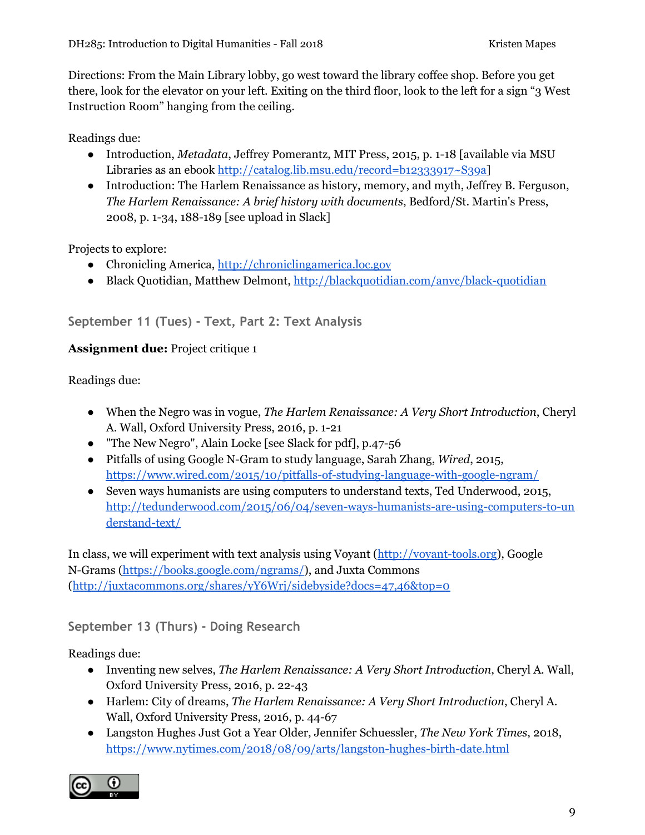Directions: From the Main Library lobby, go west toward the library coffee shop. Before you get there, look for the elevator on your left. Exiting on the third floor, look to the left for a sign "3 West Instruction Room" hanging from the ceiling.

Readings due:

- Introduction, *Metadata*, Jeffrey Pomerantz, MIT Press, 2015, p. 1-18 [available via MSU Libraries as an ebook [http://catalog.lib.msu.edu/record=b12333917~S39a\]](http://catalog.lib.msu.edu/record=b12333917~S39a)
- Introduction: The Harlem Renaissance as history, memory, and myth, Jeffrey B. Ferguson, *The Harlem Renaissance: A brief history with documents*, Bedford/St. Martin's Press, 2008, p. 1-34, 188-189 [see upload in Slack]

Projects to explore:

- Chronicling America, [http://chroniclingamerica.loc.gov](http://chroniclingamerica.loc.gov/)
- Black Quotidian, Matthew Delmont, <http://blackquotidian.com/anvc/black-quotidian>

# **September 11 (Tues) - Text, Part 2: Text Analysis**

#### **Assignment due:** Project critique 1

Readings due:

- When the Negro was in vogue, *The Harlem Renaissance: A Very Short Introduction*, Cheryl A. Wall, Oxford University Press, 2016, p. 1-21
- "The New Negro", Alain Locke [see Slack for pdf], p.47-56
- Pitfalls of using Google N-Gram to study language, Sarah Zhang, *Wired*, 2015, <https://www.wired.com/2015/10/pitfalls-of-studying-language-with-google-ngram/>
- Seven ways humanists are using computers to understand texts, Ted Underwood, 2015, [http://tedunderwood.com/2015/06/04/seven-ways-humanists-are-using-computers-to-un](http://tedunderwood.com/2015/06/04/seven-ways-humanists-are-using-computers-to-understand-text/) [derstand-text/](http://tedunderwood.com/2015/06/04/seven-ways-humanists-are-using-computers-to-understand-text/)

In class, we will experiment with text analysis using Voyant [\(http://voyant-tools.org\)](http://voyant-tools.org/), Google N-Grams [\(https://books.google.com/ngrams/\)](https://books.google.com/ngrams/), and Juxta Commons (<http://juxtacommons.org/shares/yY6Wrj/sidebyside?docs=47,46&top=0>

# **September 13 (Thurs) - Doing Research**

Readings due:

- Inventing new selves, *The Harlem Renaissance: A Very Short Introduction*, Cheryl A. Wall, Oxford University Press, 2016, p. 22-43
- Harlem: City of dreams, *The Harlem Renaissance: A Very Short Introduction*, Cheryl A. Wall, Oxford University Press, 2016, p. 44-67
- Langston Hughes Just Got a Year Older, Jennifer Schuessler, *The New York Times*, 2018, <https://www.nytimes.com/2018/08/09/arts/langston-hughes-birth-date.html>

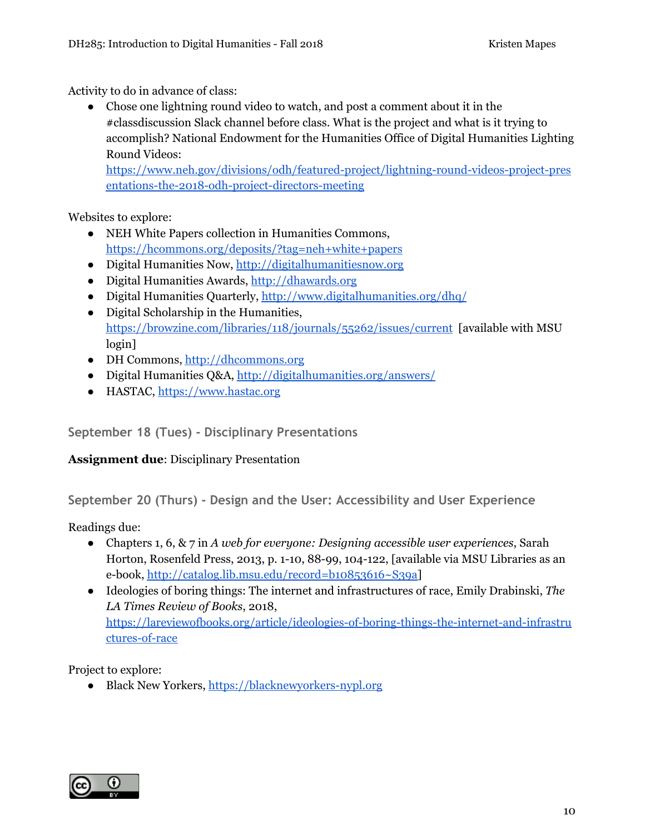Activity to do in advance of class:

● Chose one lightning round video to watch, and post a comment about it in the #classdiscussion Slack channel before class. What is the project and what is it trying to accomplish? National Endowment for the Humanities Office of Digital Humanities Lighting Round Videos:

[https://www.neh.gov/divisions/odh/featured-project/lightning-round-videos-project-pres](https://www.neh.gov/divisions/odh/featured-project/lightning-round-videos-project-presentations-the-2018-odh-project-directors-meeting) [entations-the-2018-odh-project-directors-meeting](https://www.neh.gov/divisions/odh/featured-project/lightning-round-videos-project-presentations-the-2018-odh-project-directors-meeting)

Websites to explore:

- NEH White Papers collection in Humanities Commons, <https://hcommons.org/deposits/?tag=neh+white+papers>
- Digital Humanities Now, [http://digitalhumanitiesnow.org](http://digitalhumanitiesnow.org/)
- Digital Humanities Awards, [http://dhawards.org](http://dhawards.org/)
- Digital Humanities Quarterly, <http://www.digitalhumanities.org/dhq/>
- Digital Scholarship in the Humanities, <https://browzine.com/libraries/118/journals/55262/issues/current> [available with MSU login]
- DH Commons, [http://dhcommons.org](http://dhcommons.org/)
- Digital Humanities Q&A, <http://digitalhumanities.org/answers/>
- HASTAC, [https://www.hastac.org](https://www.hastac.org/)

**September 18 (Tues) - Disciplinary Presentations**

#### **Assignment due**: Disciplinary Presentation

**September 20 (Thurs) - Design and the User: Accessibility and User Experience**

Readings due:

- Chapters 1, 6, & 7 in *A web for everyone: Designing accessible user experiences*, Sarah Horton, Rosenfeld Press, 2013, p. 1-10, 88-99, 104-122, [available via MSU Libraries as an e-book, [http://catalog.lib.msu.edu/record=b10853616~S39a\]](http://catalog.lib.msu.edu/record=b10853616~S39a)
- Ideologies of boring things: The internet and infrastructures of race, Emily Drabinski, *The LA Times Review of Books*, 2018, [https://lareviewofbooks.org/article/ideologies-of-boring-things-the-internet-and-infrastru](https://lareviewofbooks.org/article/ideologies-of-boring-things-the-internet-and-infrastructures-of-race) [ctures-of-race](https://lareviewofbooks.org/article/ideologies-of-boring-things-the-internet-and-infrastructures-of-race)

Project to explore:

● Black New Yorkers, [https://blacknewyorkers-nypl.org](https://blacknewyorkers-nypl.org/)

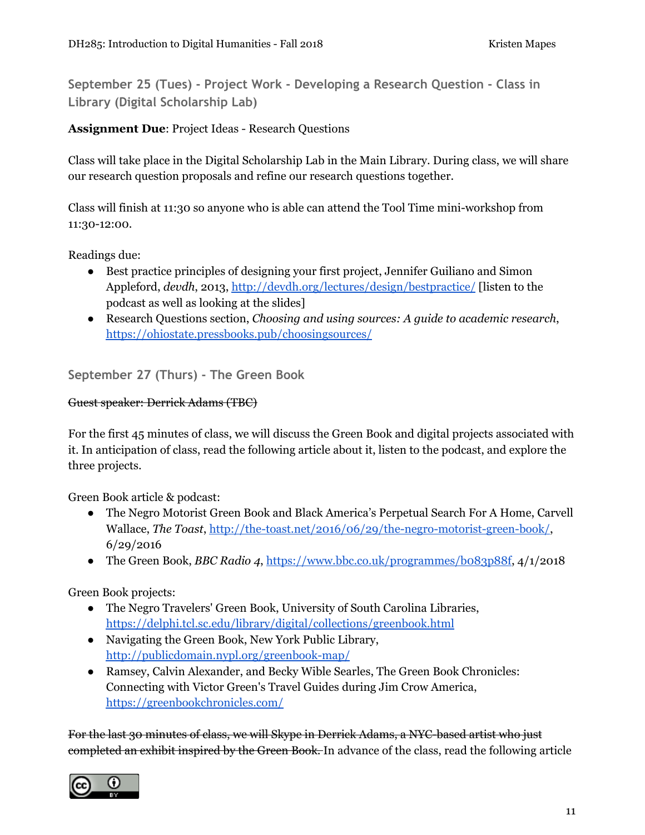**September 25 (Tues) - Project Work - Developing a Research Question - Class in Library (Digital Scholarship Lab)**

#### **Assignment Due**: Project Ideas - Research Questions

Class will take place in the Digital Scholarship Lab in the Main Library. During class, we will share our research question proposals and refine our research questions together.

Class will finish at 11:30 so anyone who is able can attend the Tool Time mini-workshop from 11:30-12:00.

Readings due:

- Best practice principles of designing your first project, Jennifer Guiliano and Simon Appleford, *devdh*, 2013, <http://devdh.org/lectures/design/bestpractice/> [listen to the podcast as well as looking at the slides]
- Research Questions section, *Choosing and using sources: A guide to academic research*, <https://ohiostate.pressbooks.pub/choosingsources/>

**September 27 (Thurs) - The Green Book**

#### Guest speaker: Derrick Adams (TBC)

For the first 45 minutes of class, we will discuss the Green Book and digital projects associated with it. In anticipation of class, read the following article about it, listen to the podcast, and explore the three projects.

Green Book article & podcast:

- The Negro Motorist Green Book and Black America's Perpetual Search For A Home, Carvell Wallace, *The Toast*, <http://the-toast.net/2016/06/29/the-negro-motorist-green-book/>, 6/29/2016
- The Green Book, *BBC Radio 4*, [https://www.bbc.co.uk/programmes/b083p88f,](https://www.bbc.co.uk/programmes/b083p88f) 4/1/2018

Green Book projects:

- The Negro Travelers' Green Book, University of South Carolina Libraries, <https://delphi.tcl.sc.edu/library/digital/collections/greenbook.html>
- Navigating the Green Book, New York Public Library, <http://publicdomain.nypl.org/greenbook-map/>
- Ramsey, Calvin Alexander, and Becky Wible Searles, The Green Book Chronicles: Connecting with Victor Green's Travel Guides during Jim Crow America, <https://greenbookchronicles.com/>

For the last 30 minutes of class, we will Skype in Derrick Adams, a NYC-based artist who just completed an exhibit inspired by the Green Book. In advance of the class, read the following article

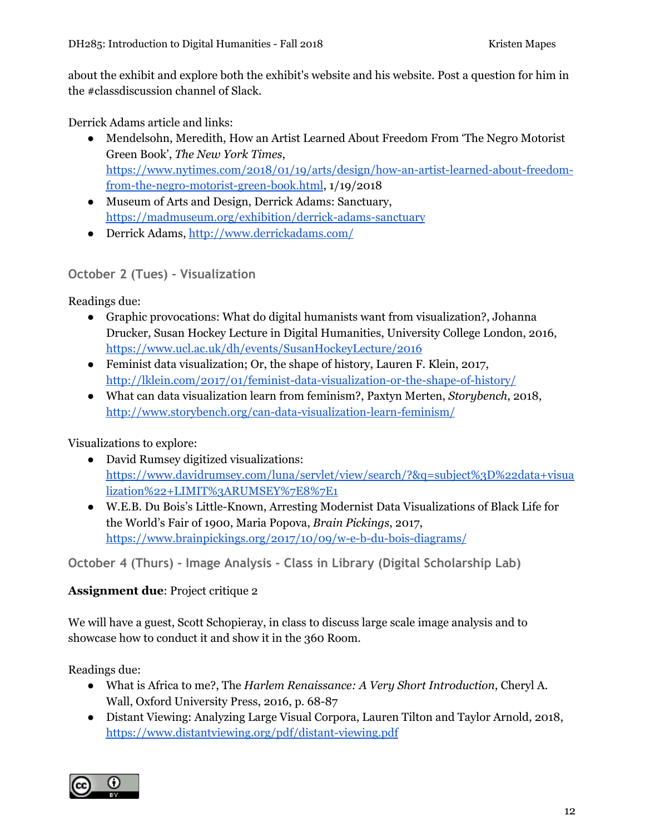about the exhibit and explore both the exhibit's website and his website. Post a question for him in the #classdiscussion channel of Slack.

Derrick Adams article and links:

- Mendelsohn, Meredith, How an Artist Learned About Freedom From 'The Negro Motorist Green Book', *The New York Times*, [https://www.nytimes.com/2018/01/19/arts/design/how-an-artist-learned-about-freedom](https://www.nytimes.com/2018/01/19/arts/design/how-an-artist-learned-about-freedom-from-the-negro-motorist-green-book.html)[from-the-negro-motorist-green-book.html](https://www.nytimes.com/2018/01/19/arts/design/how-an-artist-learned-about-freedom-from-the-negro-motorist-green-book.html), 1/19/2018
- Museum of Arts and Design, Derrick Adams: Sanctuary, <https://madmuseum.org/exhibition/derrick-adams-sanctuary>
- Derrick Adams, <http://www.derrickadams.com/>

# **October 2 (Tues) - Visualization**

Readings due:

- Graphic provocations: What do digital humanists want from visualization?, Johanna Drucker, Susan Hockey Lecture in Digital Humanities, University College London, 2016, <https://www.ucl.ac.uk/dh/events/SusanHockeyLecture/2016>
- Feminist data visualization; Or, the shape of history, Lauren F. Klein, 2017, <http://lklein.com/2017/01/feminist-data-visualization-or-the-shape-of-history/>
- What can data visualization learn from feminism?, Paxtyn Merten, *Storybench*, 2018, <http://www.storybench.org/can-data-visualization-learn-feminism/>

Visualizations to explore:

- David Rumsey digitized visualizations: [https://www.davidrumsey.com/luna/servlet/view/search/?&q=subject%3D%22data+visua](https://www.davidrumsey.com/luna/servlet/view/search/?&q=subject%3D%22data+visualization%22+LIMIT%3ARUMSEY%7E8%7E1) [lization%22+LIMIT%3ARUMSEY%7E8%7E1](https://www.davidrumsey.com/luna/servlet/view/search/?&q=subject%3D%22data+visualization%22+LIMIT%3ARUMSEY%7E8%7E1)
- W.E.B. Du Bois's Little-Known, Arresting Modernist Data Visualizations of Black Life for the World's Fair of 1900, Maria Popova, *Brain Pickings*, 2017, <https://www.brainpickings.org/2017/10/09/w-e-b-du-bois-diagrams/>

**October 4 (Thurs) - Image Analysis - Class in Library (Digital Scholarship Lab)**

#### **Assignment due**: Project critique 2

We will have a guest, Scott Schopieray, in class to discuss large scale image analysis and to showcase how to conduct it and show it in the 360 Room.

Readings due:

- What is Africa to me?, The *Harlem Renaissance: A Very Short Introduction*, Cheryl A. Wall, Oxford University Press, 2016, p. 68-87
- Distant Viewing: Analyzing Large Visual Corpora, Lauren Tilton and Taylor Arnold, 2018, <https://www.distantviewing.org/pdf/distant-viewing.pdf>

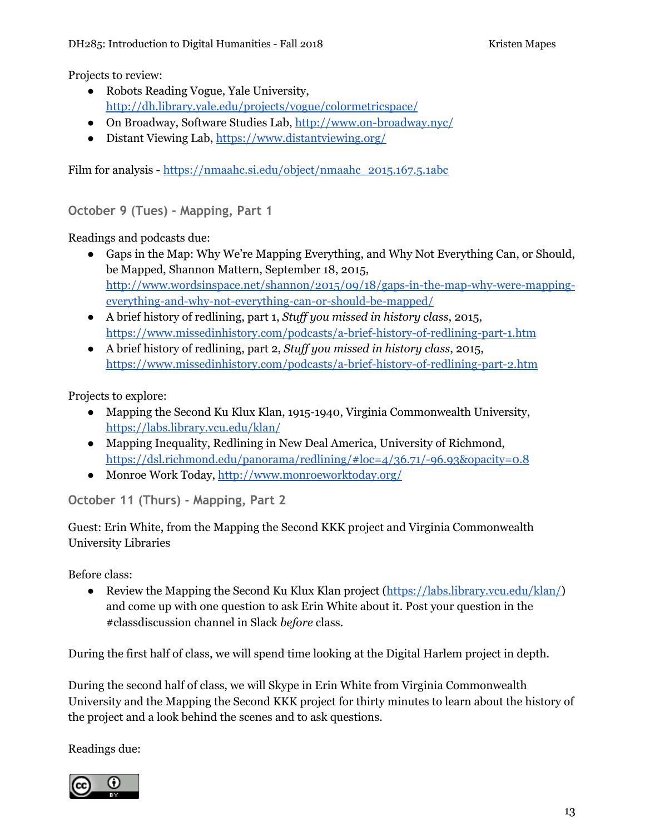Projects to review:

- Robots Reading Vogue, Yale University, <http://dh.library.yale.edu/projects/vogue/colormetricspace/>
- On Broadway, Software Studies Lab, <http://www.on-broadway.nyc/>
- Distant Viewing Lab, <https://www.distantviewing.org/>

Film for analysis - [https://nmaahc.si.edu/object/nmaahc\\_2015.167.5.1abc](https://nmaahc.si.edu/object/nmaahc_2015.167.5.1abc)

**October 9 (Tues) - Mapping, Part 1**

Readings and podcasts due:

- Gaps in the Map: Why We're Mapping Everything, and Why Not Everything Can, or Should, be Mapped, Shannon Mattern, September 18, 2015, [http://www.wordsinspace.net/shannon/2015/09/18/gaps-in-the-map-why-were-mapping](http://www.wordsinspace.net/shannon/2015/09/18/gaps-in-the-map-why-were-mapping-everything-and-why-not-everything-can-or-should-be-mapped/)[everything-and-why-not-everything-can-or-should-be-mapped/](http://www.wordsinspace.net/shannon/2015/09/18/gaps-in-the-map-why-were-mapping-everything-and-why-not-everything-can-or-should-be-mapped/)
- A brief history of redlining, part 1, *Stuf you missed in history class*, 2015, <https://www.missedinhistory.com/podcasts/a-brief-history-of-redlining-part-1.htm>
- A brief history of redlining, part 2, *Stuf you missed in history class*, 2015, <https://www.missedinhistory.com/podcasts/a-brief-history-of-redlining-part-2.htm>

Projects to explore:

- Mapping the Second Ku Klux Klan, 1915-1940, Virginia Commonwealth University, <https://labs.library.vcu.edu/klan/>
- Mapping Inequality, Redlining in New Deal America, University of Richmond, <https://dsl.richmond.edu/panorama/redlining/#loc=4/36.71/-96.93&opacity=0.8>
- Monroe Work Today, <http://www.monroeworktoday.org/>

**October 11 (Thurs) - Mapping, Part 2**

Guest: Erin White, from the Mapping the Second KKK project and Virginia Commonwealth University Libraries

Before class:

• Review the Mapping the Second Ku Klux Klan project ([https://labs.library.vcu.edu/klan/\)](https://labs.library.vcu.edu/klan/) and come up with one question to ask Erin White about it. Post your question in the #classdiscussion channel in Slack *before* class.

During the first half of class, we will spend time looking at the Digital Harlem project in depth.

During the second half of class, we will Skype in Erin White from Virginia Commonwealth University and the Mapping the Second KKK project for thirty minutes to learn about the history of the project and a look behind the scenes and to ask questions.

Readings due:

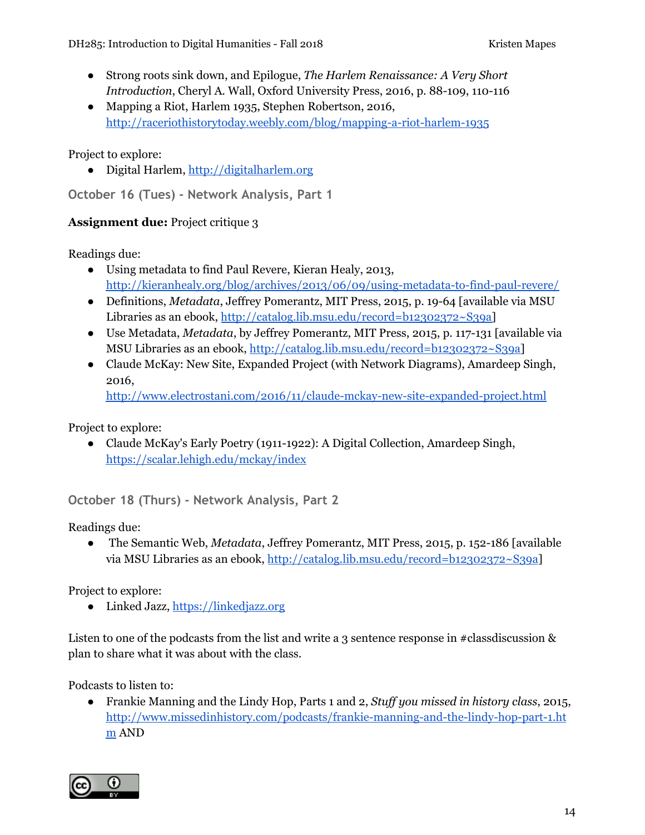- Strong roots sink down, and Epilogue, *The Harlem Renaissance: A Very Short Introduction*, Cheryl A. Wall, Oxford University Press, 2016, p. 88-109, 110-116
- Mapping a Riot, Harlem 1935, Stephen Robertson, 2016, <http://raceriothistorytoday.weebly.com/blog/mapping-a-riot-harlem-1935>

Project to explore:

● Digital Harlem, [http://digitalharlem.org](http://digitalharlem.org/)

**October 16 (Tues) - Network Analysis, Part 1**

#### **Assignment due:** Project critique 3

Readings due:

- Using metadata to find Paul Revere, Kieran Healy, 2013, <http://kieranhealy.org/blog/archives/2013/06/09/using-metadata-to-find-paul-revere/>
- Definitions, *Metadata*, Jeffrey Pomerantz, MIT Press, 2015, p. 19-64 [available via MSU Libraries as an ebook, [http://catalog.lib.msu.edu/record=b12302372~S39a\]](http://catalog.lib.msu.edu/record=b12302372~S39a)
- Use Metadata, *Metadata*, by Jeffrey Pomerantz, MIT Press, 2015, p. 117-131 [available via MSU Libraries as an ebook, <http://catalog.lib.msu.edu/record=b12302372~S39a>]
- Claude McKay: New Site, Expanded Project (with Network Diagrams), Amardeep Singh, 2016,

<http://www.electrostani.com/2016/11/claude-mckay-new-site-expanded-project.html>

Project to explore:

● Claude McKay's Early Poetry (1911-1922): A Digital Collection, Amardeep Singh, <https://scalar.lehigh.edu/mckay/index>

**October 18 (Thurs) - Network Analysis, Part 2**

Readings due:

● The Semantic Web, *Metadata*, Jeffrey Pomerantz, MIT Press, 2015, p. 152-186 [available via MSU Libraries as an ebook, <http://catalog.lib.msu.edu/record=b12302372~S39a>]

Project to explore:

• Linked Jazz, [https://linkedjazz.org](https://linkedjazz.org/)

Listen to one of the podcasts from the list and write a 3 sentence response in #classdiscussion & plan to share what it was about with the class.

Podcasts to listen to:

● Frankie Manning and the Lindy Hop, Parts 1 and 2, *Stuf you missed in history class*, 2015, [http://www.missedinhistory.com/podcasts/frankie-manning-and-the-lindy-hop-part-1.ht](http://www.missedinhistory.com/podcasts/frankie-manning-and-the-lindy-hop-part-1.htm) [m](http://www.missedinhistory.com/podcasts/frankie-manning-and-the-lindy-hop-part-1.htm) AND

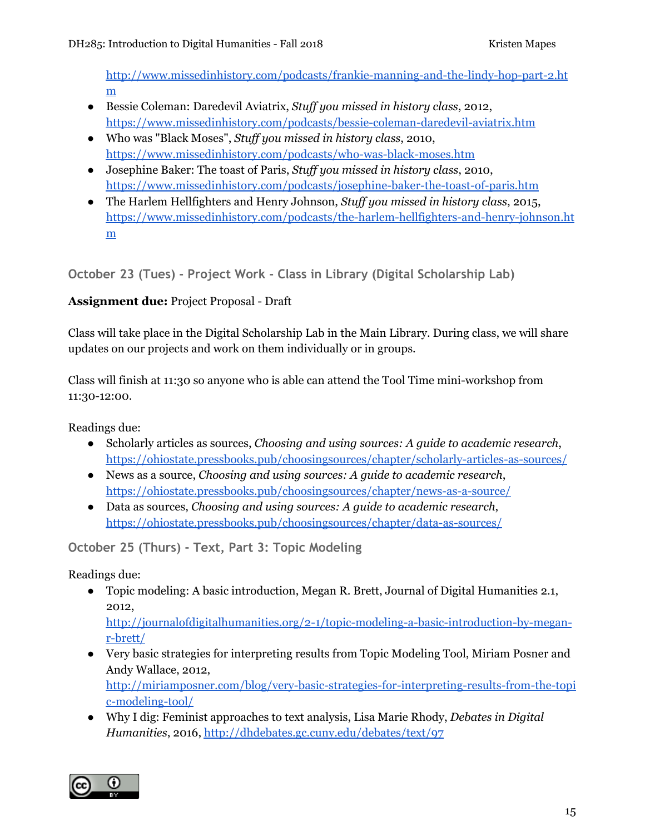[http://www.missedinhistory.com/podcasts/frankie-manning-and-the-lindy-hop-part-2.ht](http://www.missedinhistory.com/podcasts/frankie-manning-and-the-lindy-hop-part-2.htm) [m](http://www.missedinhistory.com/podcasts/frankie-manning-and-the-lindy-hop-part-2.htm)

- Bessie Coleman: Daredevil Aviatrix, *Stuf you missed in history class*, 2012, <https://www.missedinhistory.com/podcasts/bessie-coleman-daredevil-aviatrix.htm>
- Who was "Black Moses", *Stuf you missed in history class*, 2010, <https://www.missedinhistory.com/podcasts/who-was-black-moses.htm>
- Josephine Baker: The toast of Paris, *Stuf you missed in history class*, 2010, <https://www.missedinhistory.com/podcasts/josephine-baker-the-toast-of-paris.htm>
- The Harlem Hellfighters and Henry Johnson, *Stuf you missed in history class*, 2015, [https://www.missedinhistory.com/podcasts/the-harlem-hellfighters-and-henry-johnson.ht](https://www.missedinhistory.com/podcasts/the-harlem-hellfighters-and-henry-johnson.htm) [m](https://www.missedinhistory.com/podcasts/the-harlem-hellfighters-and-henry-johnson.htm)

**October 23 (Tues) - Project Work - Class in Library (Digital Scholarship Lab)**

# **Assignment due:** Project Proposal - Draft

Class will take place in the Digital Scholarship Lab in the Main Library. During class, we will share updates on our projects and work on them individually or in groups.

Class will finish at 11:30 so anyone who is able can attend the Tool Time mini-workshop from 11:30-12:00.

Readings due:

- Scholarly articles as sources, *Choosing and using sources: A guide to academic research*, <https://ohiostate.pressbooks.pub/choosingsources/chapter/scholarly-articles-as-sources/>
- News as a source, *Choosing and using sources: A guide to academic research*, <https://ohiostate.pressbooks.pub/choosingsources/chapter/news-as-a-source/>
- Data as sources, *Choosing and using sources: A guide to academic research*, <https://ohiostate.pressbooks.pub/choosingsources/chapter/data-as-sources/>

**October 25 (Thurs) - Text, Part 3: Topic Modeling**

Readings due:

● Topic modeling: A basic introduction, Megan R. Brett, Journal of Digital Humanities 2.1, 2012,

[http://journalofdigitalhumanities.org/2-1/topic-modeling-a-basic-introduction-by-megan](http://journalofdigitalhumanities.org/2-1/topic-modeling-a-basic-introduction-by-megan-r-brett/)[r-brett/](http://journalofdigitalhumanities.org/2-1/topic-modeling-a-basic-introduction-by-megan-r-brett/)

● Very basic strategies for interpreting results from Topic Modeling Tool, Miriam Posner and Andy Wallace, 2012,

[http://miriamposner.com/blog/very-basic-strategies-for-interpreting-results-from-the-topi](http://miriamposner.com/blog/very-basic-strategies-for-interpreting-results-from-the-topic-modeling-tool/) [c-modeling-tool/](http://miriamposner.com/blog/very-basic-strategies-for-interpreting-results-from-the-topic-modeling-tool/)

● Why I dig: Feminist approaches to text analysis, Lisa Marie Rhody, *Debates in Digital Humanities*, 2016, <http://dhdebates.gc.cuny.edu/debates/text/97>

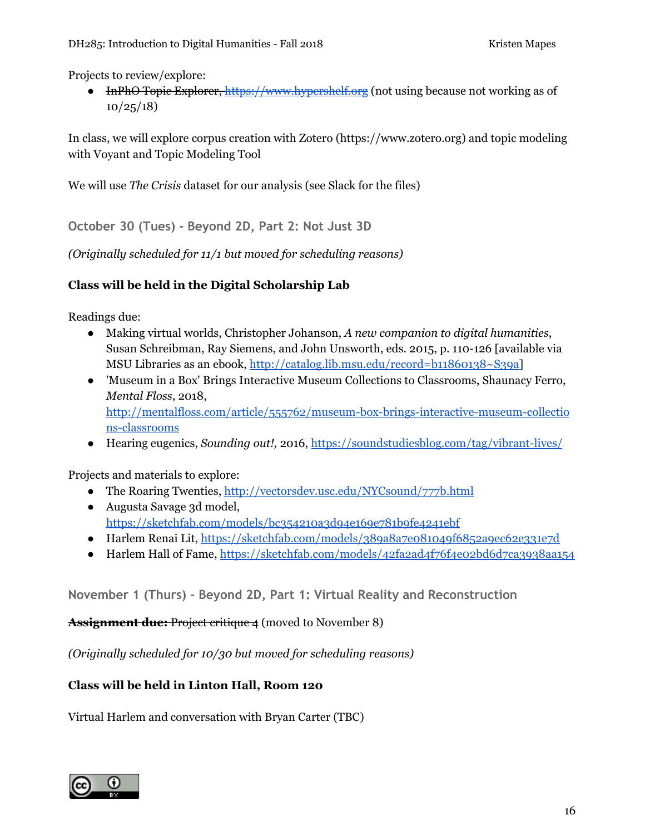Projects to review/explore:

● InPhO Topic Explorer, [https://www.hypershelf.org](https://www.hypershelf.org/) (not using because not working as of  $10/25/18$ 

In class, we will explore corpus creation with Zotero (https://www.zotero.org) and topic modeling with Voyant and Topic Modeling Tool

We will use *The Crisis* dataset for our analysis (see Slack for the files)

**October 30 (Tues) - Beyond 2D, Part 2: Not Just 3D**

*(Originally scheduled for 11/1 but moved for scheduling reasons)*

### **Class will be held in the Digital Scholarship Lab**

Readings due:

- Making virtual worlds, Christopher Johanson, *A new companion to digital humanities*, Susan Schreibman, Ray Siemens, and John Unsworth, eds. 2015, p. 110-126 [available via MSU Libraries as an ebook, <http://catalog.lib.msu.edu/record=b11860138~S39a>]
- 'Museum in a Box' Brings Interactive Museum Collections to Classrooms, Shaunacy Ferro, *Mental Floss*, 2018, [http://mentalfloss.com/article/555762/museum-box-brings-interactive-museum-collectio](http://mentalfloss.com/article/555762/museum-box-brings-interactive-museum-collections-classrooms) [ns-classrooms](http://mentalfloss.com/article/555762/museum-box-brings-interactive-museum-collections-classrooms)
- Hearing eugenics, *Sounding out!,* 2016, <https://soundstudiesblog.com/tag/vibrant-lives/>

Projects and materials to explore:

- The Roaring Twenties, <http://vectorsdev.usc.edu/NYCsound/777b.html>
- Augusta Savage 3d model, <https://sketchfab.com/models/bc354210a3d94e169e781b9fe4241ebf>
- Harlem Renai Lit, <https://sketchfab.com/models/389a8a7e081049f6852a9ec62e331e7d>
- Harlem Hall of Fame, <https://sketchfab.com/models/42fa2ad4f76f4e02bd6d7ca3938aa154>

**November 1 (Thurs) - Beyond 2D, Part 1: Virtual Reality and Reconstruction**

**Assignment due:** Project critique 4 (moved to November 8)

*(Originally scheduled for 10/30 but moved for scheduling reasons)*

#### **Class will be held in Linton Hall, Room 120**

Virtual Harlem and conversation with Bryan Carter (TBC)

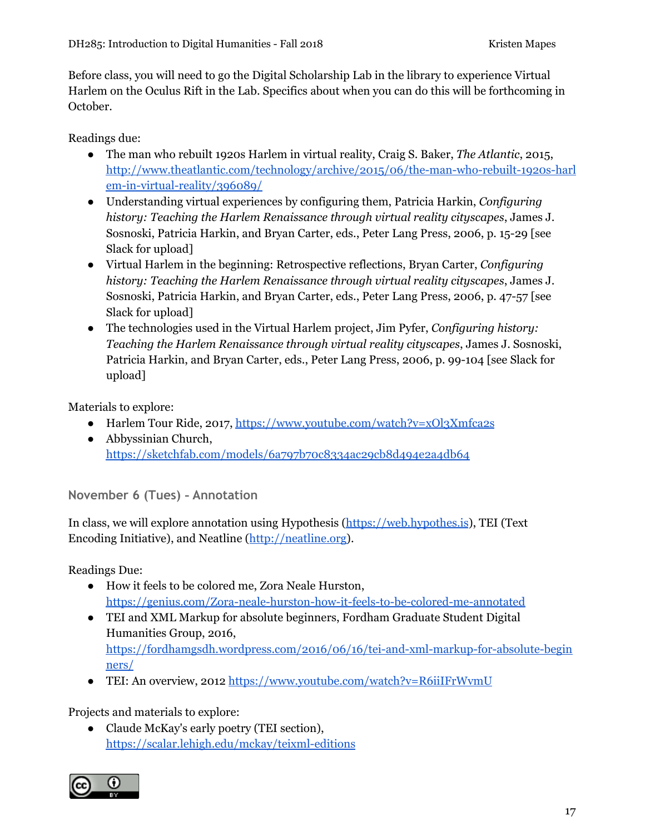Before class, you will need to go the Digital Scholarship Lab in the library to experience Virtual Harlem on the Oculus Rift in the Lab. Specifics about when you can do this will be forthcoming in October.

Readings due:

- The man who rebuilt 1920s Harlem in virtual reality, Craig S. Baker, *The Atlantic*, 2015, [http://www.theatlantic.com/technology/archive/2015/06/the-man-who-rebuilt-1920s-harl](http://www.theatlantic.com/technology/archive/2015/06/the-man-who-rebuilt-1920s-harlem-in-virtual-reality/396089/) [em-in-virtual-reality/396089/](http://www.theatlantic.com/technology/archive/2015/06/the-man-who-rebuilt-1920s-harlem-in-virtual-reality/396089/)
- Understanding virtual experiences by configuring them, Patricia Harkin, *Configuring history: Teaching the Harlem Renaissance through virtual reality cityscapes*, James J. Sosnoski, Patricia Harkin, and Bryan Carter, eds., Peter Lang Press, 2006, p. 15-29 [see Slack for upload]
- Virtual Harlem in the beginning: Retrospective reflections, Bryan Carter, *Configuring history: Teaching the Harlem Renaissance through virtual reality cityscapes*, James J. Sosnoski, Patricia Harkin, and Bryan Carter, eds., Peter Lang Press, 2006, p. 47-57 [see Slack for upload]
- The technologies used in the Virtual Harlem project, Jim Pyfer, *Configuring history: Teaching the Harlem Renaissance through virtual reality cityscapes*, James J. Sosnoski, Patricia Harkin, and Bryan Carter, eds., Peter Lang Press, 2006, p. 99-104 [see Slack for upload]

Materials to explore:

- Harlem Tour Ride, 2017, <https://www.youtube.com/watch?v=xOl3Xmfca2s>
- Abbyssinian Church, <https://sketchfab.com/models/6a797b70c8334ac29cb8d494e2a4db64>

**November 6 (Tues) - Annotation**

In class, we will explore annotation using Hypothesis [\(https://web.hypothes.is](https://web.hypothes.is/)), TEI (Text Encoding Initiative), and Neatline ([http://neatline.org](http://neatline.org/)).

Readings Due:

- How it feels to be colored me, Zora Neale Hurston, <https://genius.com/Zora-neale-hurston-how-it-feels-to-be-colored-me-annotated>
- TEI and XML Markup for absolute beginners, Fordham Graduate Student Digital Humanities Group, 2016, [https://fordhamgsdh.wordpress.com/2016/06/16/tei-and-xml-markup-for-absolute-begin](https://fordhamgsdh.wordpress.com/2016/06/16/tei-and-xml-markup-for-absolute-beginners/) [ners/](https://fordhamgsdh.wordpress.com/2016/06/16/tei-and-xml-markup-for-absolute-beginners/)
- TEI: An overview, 2012 <https://www.youtube.com/watch?v=R6iiIFrWvmU>

Projects and materials to explore:

• Claude McKay's early poetry (TEI section), <https://scalar.lehigh.edu/mckay/teixml-editions>

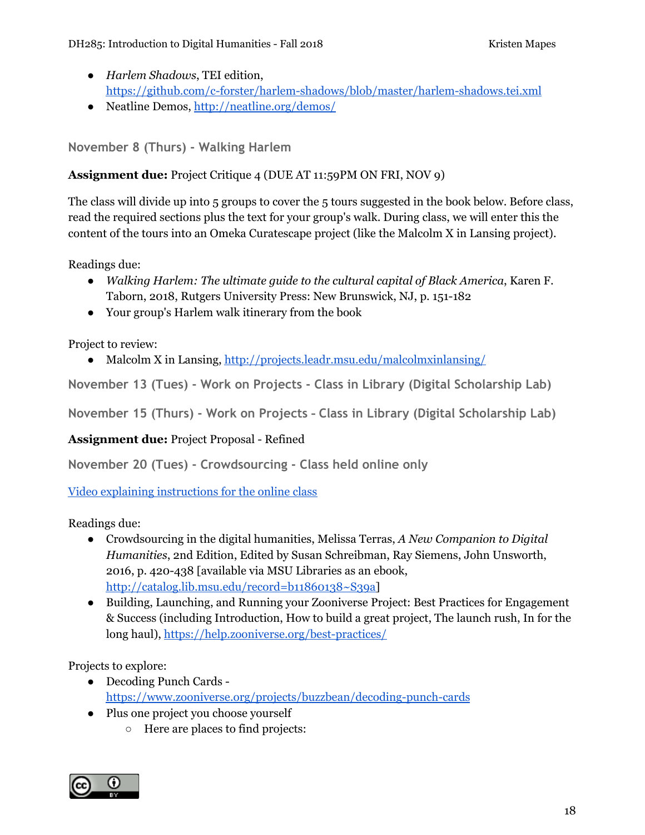- *Harlem Shadows*, TEI edition, <https://github.com/c-forster/harlem-shadows/blob/master/harlem-shadows.tei.xml>
- Neatline Demos, <http://neatline.org/demos/>

**November 8 (Thurs) - Walking Harlem**

**Assignment due:** Project Critique 4 (DUE AT 11:59PM ON FRI, NOV 9)

The class will divide up into 5 groups to cover the 5 tours suggested in the book below. Before class, read the required sections plus the text for your group's walk. During class, we will enter this the content of the tours into an Omeka Curatescape project (like the Malcolm X in Lansing project).

Readings due:

- *Walking Harlem: The ultimate guide to the cultural capital of Black America*, Karen F. Taborn, 2018, Rutgers University Press: New Brunswick, NJ, p. 151-182
- Your group's Harlem walk itinerary from the book

Project to review:

• Malcolm X in Lansing, <http://projects.leadr.msu.edu/malcolmxinlansing/>

**November 13 (Tues) - Work on Projects - Class in Library (Digital Scholarship Lab)**

**November 15 (Thurs) - Work on Projects - Class in Library (Digital Scholarship Lab)**

**Assignment due:** Project Proposal - Refined

**November 20 (Tues) - Crowdsourcing - Class held online only**

Video explaining [instructions](https://mediaspace.msu.edu/media/CrowdsourcingExplanation11202018Class/1_u64e3mks) for the online class

Readings due:

- Crowdsourcing in the digital humanities, Melissa Terras, *A New Companion to Digital Humanities*, 2nd Edition, Edited by Susan Schreibman, Ray Siemens, John Unsworth, 2016, p. 420-438 [available via MSU Libraries as an ebook, [http://catalog.lib.msu.edu/record=b11860138~S39a\]](http://catalog.lib.msu.edu/record=b11860138~S39a)
- Building, Launching, and Running your Zooniverse Project: Best Practices for Engagement & Success (including Introduction, How to build a great project, The launch rush, In for the long haul), <https://help.zooniverse.org/best-practices/>

Projects to explore:

- Decoding Punch Cards <https://www.zooniverse.org/projects/buzzbean/decoding-punch-cards>
- Plus one project you choose yourself
	- Here are places to find projects:

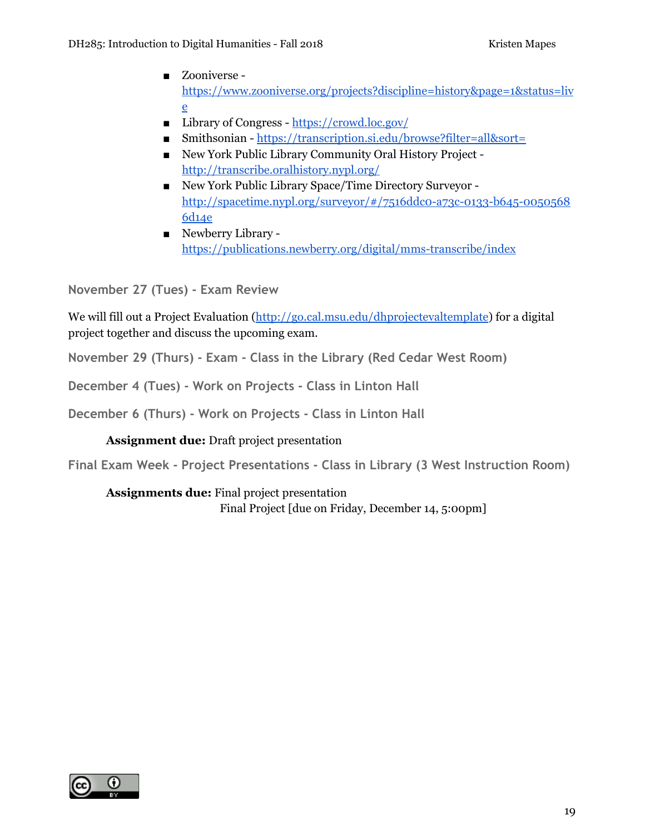- Zooniverse [https://www.zooniverse.org/projects?discipline=history&page=1&status=liv](https://www.zooniverse.org/projects?discipline=history&page=1&status=live) [e](https://www.zooniverse.org/projects?discipline=history&page=1&status=live)
- Library of Congress <https://crowd.loc.gov/>
- Smithsonian <https://transcription.si.edu/browse?filter=all&sort=>
- New York Public Library Community Oral History Project <http://transcribe.oralhistory.nypl.org/>
- New York Public Library Space/Time Directory Surveyor [http://spacetime.nypl.org/surveyor/#/7516ddc0-a73c-0133-b645-0050568](http://spacetime.nypl.org/surveyor/#/7516ddc0-a73c-0133-b645-00505686d14e) [6d14e](http://spacetime.nypl.org/surveyor/#/7516ddc0-a73c-0133-b645-00505686d14e)
- Newberry Library <https://publications.newberry.org/digital/mms-transcribe/index>

**November 27 (Tues) - Exam Review**

We will fill out a Project Evaluation ([http://go.cal.msu.edu/dhprojectevaltemplate\)](http://go.cal.msu.edu/dhprojectevaltemplate) for a digital project together and discuss the upcoming exam.

**November 29 (Thurs) - Exam - Class in the Library (Red Cedar West Room)**

**December 4 (Tues) - Work on Projects - Class in Linton Hall**

**December 6 (Thurs) - Work on Projects - Class in Linton Hall**

**Assignment due:** Draft project presentation

**Final Exam Week - Project Presentations - Class in Library (3 West Instruction Room)**

**Assignments due:** Final project presentation Final Project [due on Friday, December 14, 5:00pm]